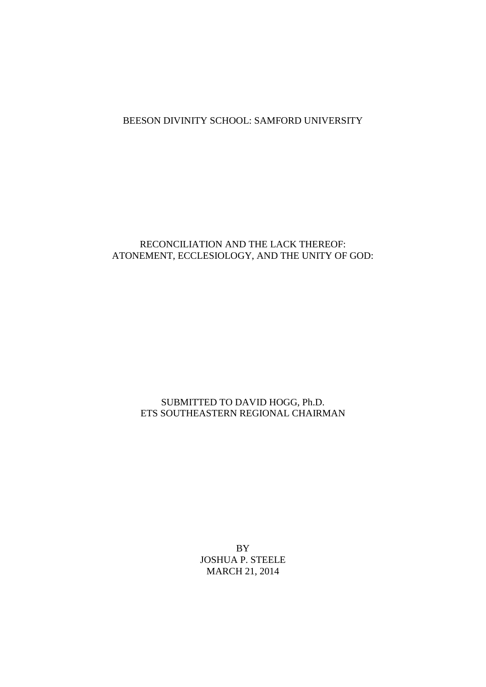# BEESON DIVINITY SCHOOL: SAMFORD UNIVERSITY

# RECONCILIATION AND THE LACK THEREOF: ATONEMENT, ECCLESIOLOGY, AND THE UNITY OF GOD:

# SUBMITTED TO DAVID HOGG, Ph.D. ETS SOUTHEASTERN REGIONAL CHAIRMAN

BY JOSHUA P. STEELE MARCH 21, 2014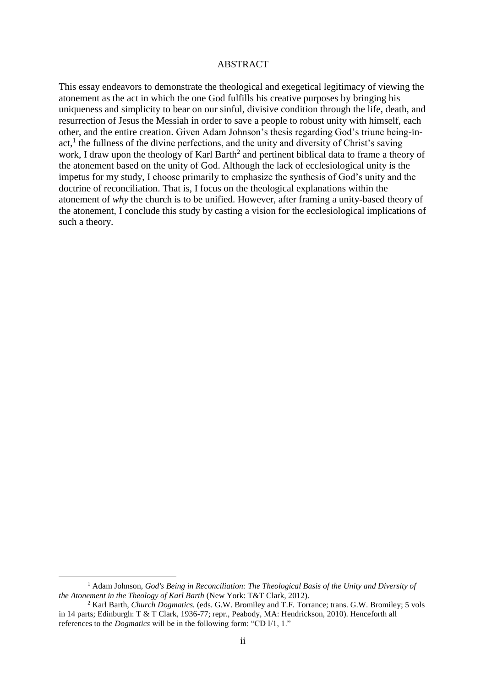#### ABSTRACT

This essay endeavors to demonstrate the theological and exegetical legitimacy of viewing the atonement as the act in which the one God fulfills his creative purposes by bringing his uniqueness and simplicity to bear on our sinful, divisive condition through the life, death, and resurrection of Jesus the Messiah in order to save a people to robust unity with himself, each other, and the entire creation. Given Adam Johnson's thesis regarding God's triune being-inact,<sup>1</sup> the fullness of the divine perfections, and the unity and diversity of Christ's saving work, I draw upon the theology of Karl Barth<sup>2</sup> and pertinent biblical data to frame a theory of the atonement based on the unity of God. Although the lack of ecclesiological unity is the impetus for my study, I choose primarily to emphasize the synthesis of God's unity and the doctrine of reconciliation. That is, I focus on the theological explanations within the atonement of *why* the church is to be unified. However, after framing a unity-based theory of the atonement, I conclude this study by casting a vision for the ecclesiological implications of such a theory.

<u>.</u>

<sup>1</sup> Adam Johnson, *God's Being in Reconciliation: The Theological Basis of the Unity and Diversity of the Atonement in the Theology of Karl Barth* (New York: T&T Clark, 2012).

<sup>2</sup> Karl Barth, *Church Dogmatics.* (eds. G.W. Bromiley and T.F. Torrance; trans. G.W. Bromiley; 5 vols in 14 parts; Edinburgh: T & T Clark, 1936-77; repr., Peabody, MA: Hendrickson, 2010). Henceforth all references to the *Dogmatics* will be in the following form: "CD I/1, 1."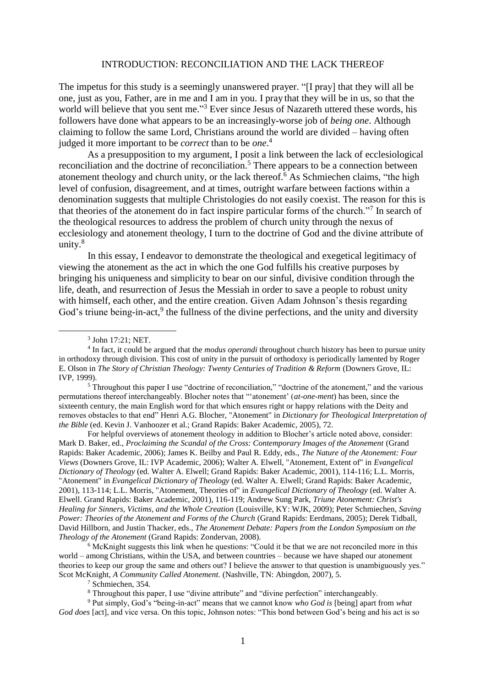#### INTRODUCTION: RECONCILIATION AND THE LACK THEREOF

The impetus for this study is a seemingly unanswered prayer. "If prayl that they will all be one, just as you, Father, are in me and I am in you. I pray that they will be in us, so that the world will believe that you sent me."<sup>3</sup> Ever since Jesus of Nazareth uttered these words, his followers have done what appears to be an increasingly-worse job of *being one*. Although claiming to follow the same Lord, Christians around the world are divided – having often judged it more important to be *correct* than to be *one*. 4

As a presupposition to my argument, I posit a link between the lack of ecclesiological reconciliation and the doctrine of reconciliation.<sup>5</sup> There appears to be a connection between atonement theology and church unity, or the lack thereof.<sup>6</sup> As Schmiechen claims, "the high level of confusion, disagreement, and at times, outright warfare between factions within a denomination suggests that multiple Christologies do not easily coexist. The reason for this is that theories of the atonement do in fact inspire particular forms of the church."<sup>7</sup> In search of the theological resources to address the problem of church unity through the nexus of ecclesiology and atonement theology, I turn to the doctrine of God and the divine attribute of unity.<sup>8</sup>

In this essay, I endeavor to demonstrate the theological and exegetical legitimacy of viewing the atonement as the act in which the one God fulfills his creative purposes by bringing his uniqueness and simplicity to bear on our sinful, divisive condition through the life, death, and resurrection of Jesus the Messiah in order to save a people to robust unity with himself, each other, and the entire creation. Given Adam Johnson's thesis regarding God's triune being-in-act,<sup>9</sup> the fullness of the divine perfections, and the unity and diversity

<u>.</u>

<sup>5</sup> Throughout this paper I use "doctrine of reconciliation," "doctrine of the atonement," and the various permutations thereof interchangeably. Blocher notes that "'atonement' (*at-one-ment*) has been, since the sixteenth century, the main English word for that which ensures right or happy relations with the Deity and removes obstacles to that end" Henri A.G. Blocher, "Atonement" in *Dictionary for Theological Interpretation of the Bible* (ed. Kevin J. Vanhoozer et al.; Grand Rapids: Baker Academic, 2005), 72.

For helpful overviews of atonement theology in addition to Blocher's article noted above, consider: Mark D. Baker, ed., *Proclaiming the Scandal of the Cross: Contemporary Images of the Atonement* (Grand Rapids: Baker Academic, 2006); James K. Beilby and Paul R. Eddy, eds., *The Nature of the Atonement: Four Views* (Downers Grove, IL: IVP Academic, 2006); Walter A. Elwell, "Atonement, Extent of" in *Evangelical Dictionary of Theology* (ed. Walter A. Elwell; Grand Rapids: Baker Academic, 2001), 114-116; L.L. Morris, "Atonement" in *Evangelical Dictionary of Theology* (ed. Walter A. Elwell; Grand Rapids: Baker Academic, 2001), 113-114; L.L. Morris, "Atonement, Theories of" in *Evangelical Dictionary of Theology* (ed. Walter A. Elwell. Grand Rapids: Baker Academic, 2001), 116-119; Andrew Sung Park, *Triune Atonement: Christ's Healing for Sinners, Victims, and the Whole Creation* (Louisville, KY: WJK, 2009); Peter Schmiechen, *Saving Power: Theories of the Atonement and Forms of the Church* (Grand Rapids: Eerdmans, 2005); Derek Tidball, David Hillborn, and Justin Thacker, eds., *The Atonement Debate: Papers from the London Symposium on the Theology of the Atonement* (Grand Rapids: Zondervan, 2008).

<sup>6</sup> McKnight suggests this link when he questions: "Could it be that we are not reconciled more in this world – among Christians, within the USA, and between countries – because we have shaped our atonement theories to keep our group the same and others out? I believe the answer to that question is unambiguously yes." Scot McKnight, *A Community Called Atonement.* (Nashville, TN: Abingdon, 2007), 5.

<sup>7</sup> Schmiechen, 354.

<sup>8</sup> Throughout this paper, I use "divine attribute" and "divine perfection" interchangeably.

<sup>9</sup> Put simply, God's "being-in-act" means that we cannot know *who God is* [being] apart from *what God does* [act], and vice versa. On this topic, Johnson notes: "This bond between God's being and his act is so

<sup>3</sup> John 17:21; NET.

<sup>4</sup> In fact, it could be argued that the *modus operandi* throughout church history has been to pursue unity in orthodoxy through division. This cost of unity in the pursuit of orthodoxy is periodically lamented by Roger E. Olson in *The Story of Christian Theology: Twenty Centuries of Tradition & Reform* (Downers Grove, IL: IVP, 1999).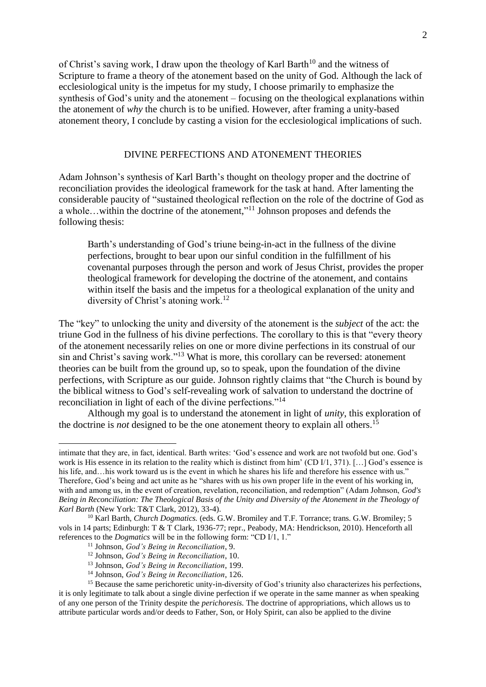of Christ's saving work, I draw upon the theology of Karl Barth<sup>10</sup> and the witness of Scripture to frame a theory of the atonement based on the unity of God. Although the lack of ecclesiological unity is the impetus for my study, I choose primarily to emphasize the synthesis of God's unity and the atonement – focusing on the theological explanations within the atonement of *why* the church is to be unified. However, after framing a unity-based atonement theory, I conclude by casting a vision for the ecclesiological implications of such.

### DIVINE PERFECTIONS AND ATONEMENT THEORIES

Adam Johnson's synthesis of Karl Barth's thought on theology proper and the doctrine of reconciliation provides the ideological framework for the task at hand. After lamenting the considerable paucity of "sustained theological reflection on the role of the doctrine of God as a whole...within the doctrine of the atonement,"<sup>11</sup> Johnson proposes and defends the following thesis:

Barth's understanding of God's triune being-in-act in the fullness of the divine perfections, brought to bear upon our sinful condition in the fulfillment of his covenantal purposes through the person and work of Jesus Christ, provides the proper theological framework for developing the doctrine of the atonement, and contains within itself the basis and the impetus for a theological explanation of the unity and diversity of Christ's atoning work.<sup>12</sup>

The "key" to unlocking the unity and diversity of the atonement is the *subject* of the act: the triune God in the fullness of his divine perfections. The corollary to this is that "every theory of the atonement necessarily relies on one or more divine perfections in its construal of our sin and Christ's saving work."<sup>13</sup> What is more, this corollary can be reversed: atonement theories can be built from the ground up, so to speak, upon the foundation of the divine perfections, with Scripture as our guide. Johnson rightly claims that "the Church is bound by the biblical witness to God's self-revealing work of salvation to understand the doctrine of reconciliation in light of each of the divine perfections."<sup>14</sup>

Although my goal is to understand the atonement in light of *unity*, this exploration of the doctrine is *not* designed to be the one atonement theory to explain all others. 15

intimate that they are, in fact, identical. Barth writes: 'God's essence and work are not twofold but one. God's work is His essence in its relation to the reality which is distinct from him' (CD I/1, 371). [...] God's essence is his life, and…his work toward us is the event in which he shares his life and therefore his essence with us." Therefore, God's being and act unite as he "shares with us his own proper life in the event of his working in, with and among us, in the event of creation, revelation, reconciliation, and redemption" (Adam Johnson, *God's Being in Reconciliation: The Theological Basis of the Unity and Diversity of the Atonement in the Theology of Karl Barth* (New York: T&T Clark, 2012), 33-4).

<sup>&</sup>lt;sup>10</sup> Karl Barth, *Church Dogmatics.* (eds. G.W. Bromiley and T.F. Torrance; trans. G.W. Bromiley; 5 vols in 14 parts; Edinburgh: T & T Clark, 1936-77; repr., Peabody, MA: Hendrickson, 2010). Henceforth all references to the *Dogmatics* will be in the following form: "CD I/1, 1."

<sup>11</sup> Johnson, *God's Being in Reconciliation*, 9.

<sup>12</sup> Johnson, *God's Being in Reconciliation*, 10.

<sup>13</sup> Johnson, *God's Being in Reconciliation*, 199.

<sup>14</sup> Johnson, *God's Being in Reconciliation*, 126.

<sup>&</sup>lt;sup>15</sup> Because the same perichoretic unity-in-diversity of God's triunity also characterizes his perfections. it is only legitimate to talk about a single divine perfection if we operate in the same manner as when speaking of any one person of the Trinity despite the *perichoresis.* The doctrine of appropriations, which allows us to attribute particular words and/or deeds to Father, Son, or Holy Spirit, can also be applied to the divine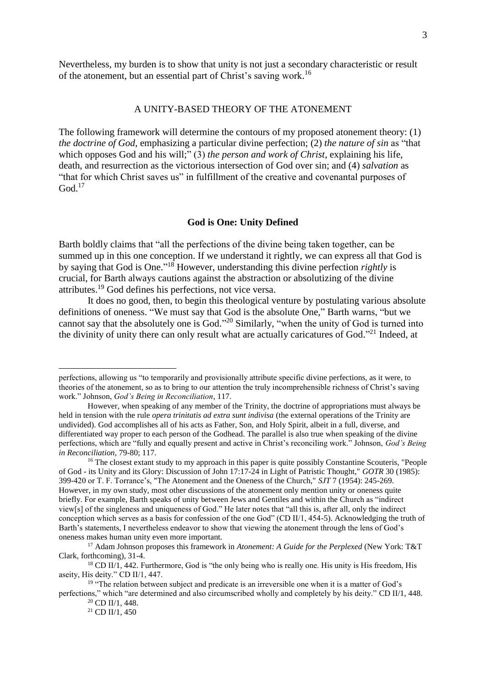Nevertheless, my burden is to show that unity is not just a secondary characteristic or result of the atonement, but an essential part of Christ's saving work.<sup>16</sup>

## A UNITY-BASED THEORY OF THE ATONEMENT

The following framework will determine the contours of my proposed atonement theory: (1) *the doctrine of God*, emphasizing a particular divine perfection; (2) *the nature of sin* as "that which opposes God and his will;" (3) *the person and work of Christ*, explaining his life, death, and resurrection as the victorious intersection of God over sin; and (4) *salvation* as "that for which Christ saves us" in fulfillment of the creative and covenantal purposes of  $God.<sup>17</sup>$ 

#### **God is One: Unity Defined**

Barth boldly claims that "all the perfections of the divine being taken together, can be summed up in this one conception. If we understand it rightly, we can express all that God is by saying that God is One." <sup>18</sup> However, understanding this divine perfection *rightly* is crucial, for Barth always cautions against the abstraction or absolutizing of the divine attributes.<sup>19</sup> God defines his perfections, not vice versa.

It does no good, then, to begin this theological venture by postulating various absolute definitions of oneness. "We must say that God is the absolute One," Barth warns, "but we cannot say that the absolutely one is God."<sup>20</sup> Similarly, "when the unity of God is turned into the divinity of unity there can only result what are actually caricatures of God."<sup>21</sup> Indeed, at

perfections, allowing us "to temporarily and provisionally attribute specific divine perfections, as it were, to theories of the atonement, so as to bring to our attention the truly incomprehensible richness of Christ's saving work." Johnson, *God's Being in Reconciliation*, 117.

However, when speaking of any member of the Trinity, the doctrine of appropriations must always be held in tension with the rule *opera trinitatis ad extra sunt indivisa* (the external operations of the Trinity are undivided). God accomplishes all of his acts as Father, Son, and Holy Spirit, albeit in a full, diverse, and differentiated way proper to each person of the Godhead. The parallel is also true when speaking of the divine perfections, which are "fully and equally present and active in Christ's reconciling work." Johnson, *God's Being in Reconciliation*, 79-80; 117.

<sup>&</sup>lt;sup>16</sup> The closest extant study to my approach in this paper is quite possibly Constantine Scouteris, "People of God - its Unity and its Glory: Discussion of John 17:17-24 in Light of Patristic Thought," *GOTR* 30 (1985): 399-420 or T. F. Torrance's, "The Atonement and the Oneness of the Church," *SJT* 7 (1954): 245-269. However, in my own study, most other discussions of the atonement only mention unity or oneness quite briefly. For example, Barth speaks of unity between Jews and Gentiles and within the Church as "indirect view[s] of the singleness and uniqueness of God." He later notes that "all this is, after all, only the indirect conception which serves as a basis for confession of the one God" (CD II/1, 454-5). Acknowledging the truth of Barth's statements, I nevertheless endeavor to show that viewing the atonement through the lens of God's oneness makes human unity even more important.

<sup>17</sup> Adam Johnson proposes this framework in *Atonement: A Guide for the Perplexed* (New York: T&T Clark, forthcoming), 31-4.

<sup>&</sup>lt;sup>18</sup> CD II/1, 442. Furthermore, God is "the only being who is really one. His unity is His freedom, His aseity, His deity." CD II/1, 447.

 $19$  "The relation between subject and predicate is an irreversible one when it is a matter of God's perfections," which "are determined and also circumscribed wholly and completely by his deity." CD II/1, 448.

 $20$  CD II/1, 448.

 $21$  CD II/1, 450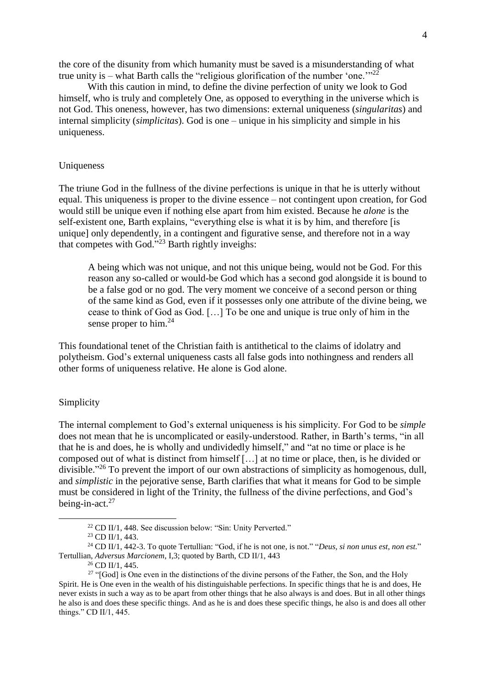the core of the disunity from which humanity must be saved is a misunderstanding of what true unity is – what Barth calls the "religious glorification of the number 'one." $22$ 

With this caution in mind, to define the divine perfection of unity we look to God himself, who is truly and completely One, as opposed to everything in the universe which is not God. This oneness, however, has two dimensions: external uniqueness (*singularitas*) and internal simplicity (*simplicitas*). God is one – unique in his simplicity and simple in his uniqueness.

## Uniqueness

The triune God in the fullness of the divine perfections is unique in that he is utterly without equal. This uniqueness is proper to the divine essence – not contingent upon creation, for God would still be unique even if nothing else apart from him existed. Because he *alone* is the self-existent one, Barth explains, "everything else is what it is by him, and therefore [is unique] only dependently, in a contingent and figurative sense, and therefore not in a way that competes with God." <sup>23</sup> Barth rightly inveighs:

A being which was not unique, and not this unique being, would not be God. For this reason any so-called or would-be God which has a second god alongside it is bound to be a false god or no god. The very moment we conceive of a second person or thing of the same kind as God, even if it possesses only one attribute of the divine being, we cease to think of God as God. […] To be one and unique is true only of him in the sense proper to him. $^{24}$ 

This foundational tenet of the Christian faith is antithetical to the claims of idolatry and polytheism. God's external uniqueness casts all false gods into nothingness and renders all other forms of uniqueness relative. He alone is God alone.

## Simplicity

1

The internal complement to God's external uniqueness is his simplicity. For God to be *simple* does not mean that he is uncomplicated or easily-understood. Rather, in Barth's terms, "in all that he is and does, he is wholly and undividedly himself," and "at no time or place is he composed out of what is distinct from himself […] at no time or place, then, is he divided or divisible."<sup>26</sup> To prevent the import of our own abstractions of simplicity as homogenous, dull, and *simplistic* in the pejorative sense, Barth clarifies that what it means for God to be simple must be considered in light of the Trinity, the fullness of the divine perfections, and God's being-in-act.<sup>27</sup>

 $22$  CD II/1, 448. See discussion below: "Sin: Unity Perverted."

<sup>23</sup> CD II/1, 443.

<sup>24</sup> CD II/1, 442-3. To quote Tertullian: "God, if he is not one, is not." "*Deus, si non unus est, non est.*" Tertullian, *Adversus Marcionem*, I,3; quoted by Barth, CD II/1, 443

<sup>26</sup> CD II/1, 445.

<sup>&</sup>lt;sup>27</sup> "[God] is One even in the distinctions of the divine persons of the Father, the Son, and the Holy Spirit. He is One even in the wealth of his distinguishable perfections. In specific things that he is and does, He never exists in such a way as to be apart from other things that he also always is and does. But in all other things he also is and does these specific things. And as he is and does these specific things, he also is and does all other things." CD II/1, 445.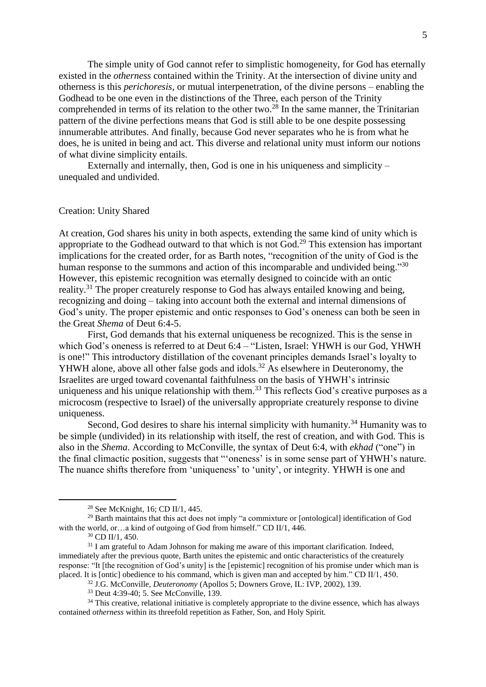The simple unity of God cannot refer to simplistic homogeneity, for God has eternally existed in the *otherness* contained within the Trinity. At the intersection of divine unity and otherness is this *perichoresis*, or mutual interpenetration, of the divine persons – enabling the Godhead to be one even in the distinctions of the Three, each person of the Trinity comprehended in terms of its relation to the other two.<sup>28</sup> In the same manner, the Trinitarian pattern of the divine perfections means that God is still able to be one despite possessing innumerable attributes. And finally, because God never separates who he is from what he does, he is united in being and act. This diverse and relational unity must inform our notions of what divine simplicity entails.

Externally and internally, then, God is one in his uniqueness and simplicity – unequaled and undivided.

### Creation: Unity Shared

At creation, God shares his unity in both aspects, extending the same kind of unity which is appropriate to the Godhead outward to that which is not  $God.^{29}$ . This extension has important implications for the created order, for as Barth notes, "recognition of the unity of God is the human response to the summons and action of this incomparable and undivided being."<sup>30</sup> However, this epistemic recognition was eternally designed to coincide with an ontic reality.<sup>31</sup> The proper creaturely response to God has always entailed knowing and being, recognizing and doing – taking into account both the external and internal dimensions of God's unity. The proper epistemic and ontic responses to God's oneness can both be seen in the Great *Shema* of Deut 6:4-5.

First, God demands that his external uniqueness be recognized. This is the sense in which God's oneness is referred to at Deut 6:4 – "Listen, Israel: YHWH is our God, YHWH is one!" This introductory distillation of the covenant principles demands Israel's loyalty to YHWH alone, above all other false gods and idols.<sup>32</sup> As elsewhere in Deuteronomy, the Israelites are urged toward covenantal faithfulness on the basis of YHWH's intrinsic uniqueness and his unique relationship with them.<sup>33</sup> This reflects God's creative purposes as a microcosm (respective to Israel) of the universally appropriate creaturely response to divine uniqueness.

Second, God desires to share his internal simplicity with humanity.<sup>34</sup> Humanity was to be simple (undivided) in its relationship with itself, the rest of creation, and with God. This is also in the *Shema*. According to McConville, the syntax of Deut 6:4, with *ekhad* ("one") in the final climactic position, suggests that "'oneness' is in some sense part of YHWH's nature. The nuance shifts therefore from 'uniqueness' to 'unity', or integrity. YHWH is one and

<sup>28</sup> See McKnight, 16; CD II/1, 445.

<sup>29</sup> Barth maintains that this act does not imply "a commixture or [ontological] identification of God with the world, or…a kind of outgoing of God from himself." CD II/1, 446.

<sup>30</sup> CD II/1, 450.

<sup>&</sup>lt;sup>31</sup> I am grateful to Adam Johnson for making me aware of this important clarification. Indeed, immediately after the previous quote, Barth unites the epistemic and ontic characteristics of the creaturely response: "It [the recognition of God's unity] is the [epistemic] recognition of his promise under which man is placed. It is [ontic] obedience to his command, which is given man and accepted by him." CD II/1, 450.

<sup>32</sup> J.G. McConville, *Deuteronomy* (Apollos 5; Downers Grove, IL: IVP, 2002), 139.

<sup>33</sup> Deut 4:39-40; 5. See McConville, 139.

<sup>&</sup>lt;sup>34</sup> This creative, relational initiative is completely appropriate to the divine essence, which has always contained *otherness* within its threefold repetition as Father, Son, and Holy Spirit.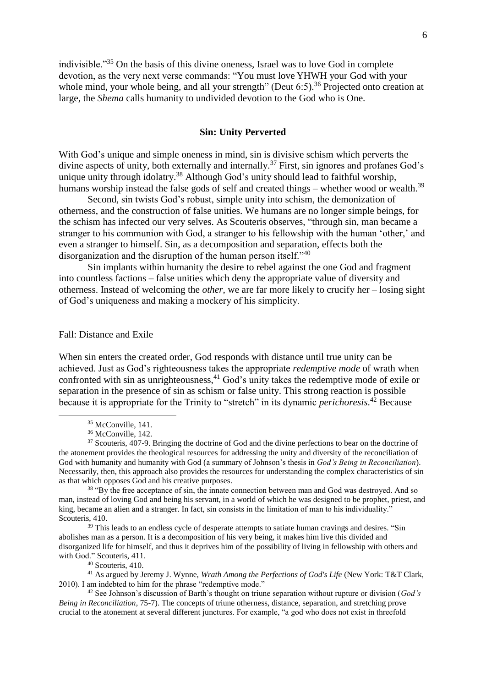indivisible."<sup>35</sup> On the basis of this divine oneness, Israel was to love God in complete devotion, as the very next verse commands: "You must love YHWH your God with your whole mind, your whole being, and all your strength" (Deut  $6:5$ ).<sup>36</sup> Projected onto creation at large, the *Shema* calls humanity to undivided devotion to the God who is One.

## **Sin: Unity Perverted**

With God's unique and simple oneness in mind, sin is divisive schism which perverts the divine aspects of unity, both externally and internally.<sup>37</sup> First, sin ignores and profanes God's unique unity through idolatry.<sup>38</sup> Although God's unity should lead to faithful worship, humans worship instead the false gods of self and created things – whether wood or wealth.<sup>39</sup>

Second, sin twists God's robust, simple unity into schism, the demonization of otherness, and the construction of false unities. We humans are no longer simple beings, for the schism has infected our very selves. As Scouteris observes, "through sin, man became a stranger to his communion with God, a stranger to his fellowship with the human 'other,' and even a stranger to himself. Sin, as a decomposition and separation, effects both the disorganization and the disruption of the human person itself."<sup>40</sup>

Sin implants within humanity the desire to rebel against the one God and fragment into countless factions – false unities which deny the appropriate value of diversity and otherness. Instead of welcoming the *other*, we are far more likely to crucify her – losing sight of God's uniqueness and making a mockery of his simplicity.

## Fall: Distance and Exile

When sin enters the created order, God responds with distance until true unity can be achieved. Just as God's righteousness takes the appropriate *redemptive mode* of wrath when confronted with sin as unrighteousness,  $41$  God's unity takes the redemptive mode of exile or separation in the presence of sin as schism or false unity. This strong reaction is possible because it is appropriate for the Trinity to "stretch" in its dynamic *perichoresis*. <sup>42</sup> Because

1

<sup>38</sup> "By the free acceptance of sin, the innate connection between man and God was destroyed. And so man, instead of loving God and being his servant, in a world of which he was designed to be prophet, priest, and king, became an alien and a stranger. In fact, sin consists in the limitation of man to his individuality." Scouteris, 410.

 $39$  This leads to an endless cycle of desperate attempts to satiate human cravings and desires. "Sin abolishes man as a person. It is a decomposition of his very being, it makes him live this divided and disorganized life for himself, and thus it deprives him of the possibility of living in fellowship with others and with God." Scouteris, 411.

<sup>40</sup> Scouteris, 410.

<sup>41</sup> As argued by Jeremy J. Wynne, *Wrath Among the Perfections of God's Life* (New York: T&T Clark, 2010). I am indebted to him for the phrase "redemptive mode."

<sup>42</sup> See Johnson's discussion of Barth's thought on triune separation without rupture or division (*God's Being in Reconciliation*, 75-7). The concepts of triune otherness, distance, separation, and stretching prove crucial to the atonement at several different junctures. For example, "a god who does not exist in threefold

<sup>&</sup>lt;sup>35</sup> McConville, 141.

<sup>36</sup> McConville, 142.

<sup>&</sup>lt;sup>37</sup> Scouteris, 407-9. Bringing the doctrine of God and the divine perfections to bear on the doctrine of the atonement provides the theological resources for addressing the unity and diversity of the reconciliation of God with humanity and humanity with God (a summary of Johnson's thesis in *God's Being in Reconciliation*). Necessarily, then, this approach also provides the resources for understanding the complex characteristics of sin as that which opposes God and his creative purposes.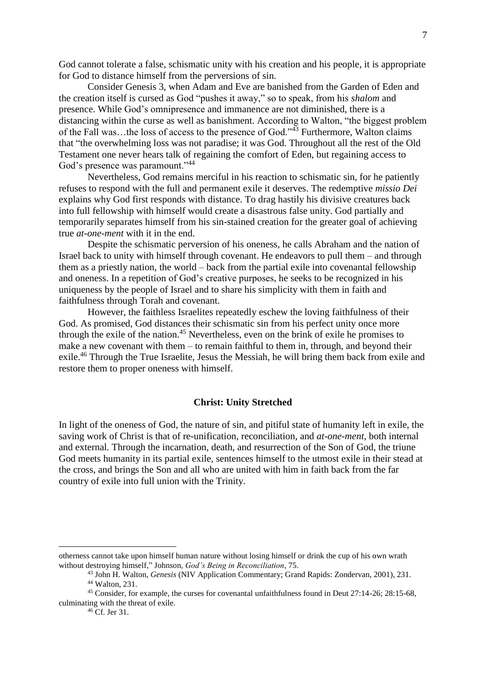God cannot tolerate a false, schismatic unity with his creation and his people, it is appropriate for God to distance himself from the perversions of sin.

Consider Genesis 3, when Adam and Eve are banished from the Garden of Eden and the creation itself is cursed as God "pushes it away," so to speak, from his *shalom* and presence. While God's omnipresence and immanence are not diminished, there is a distancing within the curse as well as banishment. According to Walton, "the biggest problem of the Fall was...the loss of access to the presence of God."<sup>43</sup> Furthermore, Walton claims that "the overwhelming loss was not paradise; it was God. Throughout all the rest of the Old Testament one never hears talk of regaining the comfort of Eden, but regaining access to God's presence was paramount."<sup>44</sup>

Nevertheless, God remains merciful in his reaction to schismatic sin, for he patiently refuses to respond with the full and permanent exile it deserves. The redemptive *missio Dei* explains why God first responds with distance. To drag hastily his divisive creatures back into full fellowship with himself would create a disastrous false unity. God partially and temporarily separates himself from his sin-stained creation for the greater goal of achieving true *at-one-ment* with it in the end.

Despite the schismatic perversion of his oneness, he calls Abraham and the nation of Israel back to unity with himself through covenant. He endeavors to pull them – and through them as a priestly nation, the world – back from the partial exile into covenantal fellowship and oneness. In a repetition of God's creative purposes, he seeks to be recognized in his uniqueness by the people of Israel and to share his simplicity with them in faith and faithfulness through Torah and covenant.

However, the faithless Israelites repeatedly eschew the loving faithfulness of their God. As promised, God distances their schismatic sin from his perfect unity once more through the exile of the nation.<sup>45</sup> Nevertheless, even on the brink of exile he promises to make a new covenant with them – to remain faithful to them in, through, and beyond their exile.<sup>46</sup> Through the True Israelite, Jesus the Messiah, he will bring them back from exile and restore them to proper oneness with himself.

## **Christ: Unity Stretched**

In light of the oneness of God, the nature of sin, and pitiful state of humanity left in exile, the saving work of Christ is that of re-unification, reconciliation, and *at-one-ment*, both internal and external. Through the incarnation, death, and resurrection of the Son of God, the triune God meets humanity in its partial exile, sentences himself to the utmost exile in their stead at the cross, and brings the Son and all who are united with him in faith back from the far country of exile into full union with the Trinity.

otherness cannot take upon himself human nature without losing himself or drink the cup of his own wrath without destroying himself," Johnson, *God's Being in Reconciliation*, 75.

<sup>43</sup> John H. Walton, *Genesis* (NIV Application Commentary; Grand Rapids: Zondervan, 2001), 231. <sup>44</sup> Walton, 231.

<sup>45</sup> Consider, for example, the curses for covenantal unfaithfulness found in Deut 27:14-26; 28:15-68, culminating with the threat of exile.

 $^{46}$  Cf. Jer 31.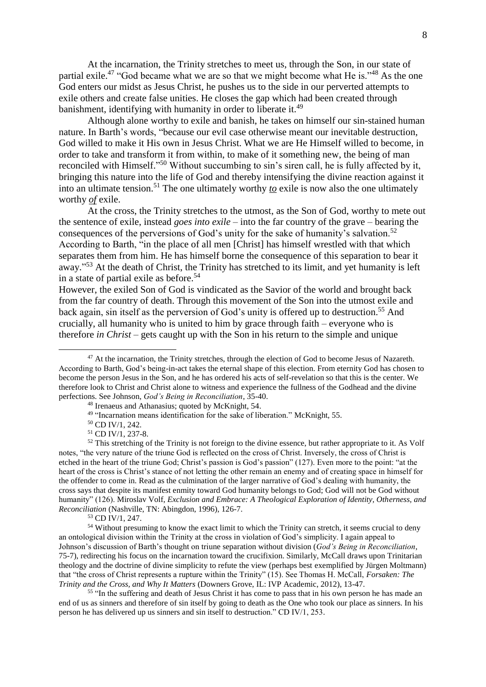At the incarnation, the Trinity stretches to meet us, through the Son, in our state of partial exile.<sup>47</sup> "God became what we are so that we might become what He is."<sup>48</sup> As the one God enters our midst as Jesus Christ, he pushes us to the side in our perverted attempts to exile others and create false unities. He closes the gap which had been created through banishment, identifying with humanity in order to liberate it.<sup>49</sup>

Although alone worthy to exile and banish, he takes on himself our sin-stained human nature. In Barth's words, "because our evil case otherwise meant our inevitable destruction, God willed to make it His own in Jesus Christ. What we are He Himself willed to become, in order to take and transform it from within, to make of it something new, the being of man reconciled with Himself."<sup>50</sup> Without succumbing to sin's siren call, he is fully affected by it, bringing this nature into the life of God and thereby intensifying the divine reaction against it into an ultimate tension. <sup>51</sup> The one ultimately worthy *to* exile is now also the one ultimately worthy *of* exile.

At the cross, the Trinity stretches to the utmost, as the Son of God, worthy to mete out the sentence of exile, instead *goes into exile* – into the far country of the grave – bearing the consequences of the perversions of God's unity for the sake of humanity's salvation.<sup>52</sup> According to Barth, "in the place of all men [Christ] has himself wrestled with that which separates them from him. He has himself borne the consequence of this separation to bear it away."<sup>53</sup> At the death of Christ, the Trinity has stretched to its limit, and yet humanity is left in a state of partial exile as before. 54

However, the exiled Son of God is vindicated as the Savior of the world and brought back from the far country of death. Through this movement of the Son into the utmost exile and back again, sin itself as the perversion of God's unity is offered up to destruction. <sup>55</sup> And crucially, all humanity who is united to him by grace through faith – everyone who is therefore *in Christ* – gets caught up with the Son in his return to the simple and unique

1

<sup>53</sup> CD IV/1, 247.

<sup>55</sup> "In the suffering and death of Jesus Christ it has come to pass that in his own person he has made an end of us as sinners and therefore of sin itself by going to death as the One who took our place as sinners. In his person he has delivered up us sinners and sin itself to destruction." CD IV/1, 253.

<sup>&</sup>lt;sup>47</sup> At the incarnation, the Trinity stretches, through the election of God to become Jesus of Nazareth. According to Barth, God's being-in-act takes the eternal shape of this election. From eternity God has chosen to become the person Jesus in the Son, and he has ordered his acts of self-revelation so that this is the center. We therefore look to Christ and Christ alone to witness and experience the fullness of the Godhead and the divine perfections. See Johnson, *God's Being in Reconciliation*, 35-40.

<sup>48</sup> Irenaeus and Athanasius; quoted by McKnight, 54.

<sup>&</sup>lt;sup>49</sup> "Incarnation means identification for the sake of liberation." McKnight, 55.

<sup>50</sup> CD IV/1, 242.

<sup>51</sup> CD IV/1, 237-8.

<sup>&</sup>lt;sup>52</sup> This stretching of the Trinity is not foreign to the divine essence, but rather appropriate to it. As Volf notes, "the very nature of the triune God is reflected on the cross of Christ. Inversely, the cross of Christ is etched in the heart of the triune God; Christ's passion is God's passion" (127). Even more to the point: "at the heart of the cross is Christ's stance of not letting the other remain an enemy and of creating space in himself for the offender to come in. Read as the culmination of the larger narrative of God's dealing with humanity, the cross says that despite its manifest enmity toward God humanity belongs to God; God will not be God without humanity" (126). Miroslav Volf, *Exclusion and Embrace: A Theological Exploration of Identity, Otherness, and Reconciliation* (Nashville, TN: Abingdon, 1996), 126-7.

<sup>&</sup>lt;sup>54</sup> Without presuming to know the exact limit to which the Trinity can stretch, it seems crucial to deny an ontological division within the Trinity at the cross in violation of God's simplicity. I again appeal to Johnson's discussion of Barth's thought on triune separation without division (*God's Being in Reconciliation*, 75-7), redirecting his focus on the incarnation toward the crucifixion. Similarly, McCall draws upon Trinitarian theology and the doctrine of divine simplicity to refute the view (perhaps best exemplified by Jürgen Moltmann) that "the cross of Christ represents a rupture within the Trinity" (15). See Thomas H. McCall, *Forsaken: The Trinity and the Cross, and Why It Matters* (Downers Grove, IL: IVP Academic, 2012), 13-47.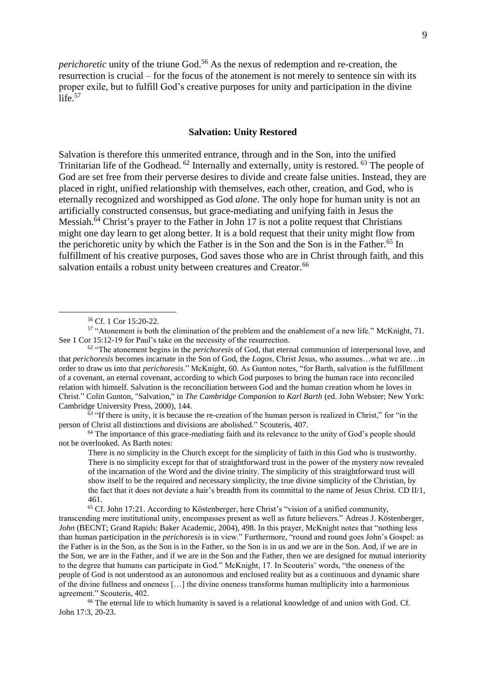*perichoretic* unity of the triune God.<sup>56</sup> As the nexus of redemption and re-creation, the resurrection is crucial – for the focus of the atonement is not merely to sentence sin with its proper exile, but to fulfill God's creative purposes for unity and participation in the divine life. 57

## **Salvation: Unity Restored**

Salvation is therefore this unmerited entrance, through and in the Son, into the unified Trinitarian life of the Godhead. <sup>62</sup> Internally and externally, unity is restored. <sup>63</sup> The people of God are set free from their perverse desires to divide and create false unities. Instead, they are placed in right, unified relationship with themselves, each other, creation, and God, who is eternally recognized and worshipped as God *alone*. The only hope for human unity is not an artificially constructed consensus, but grace-mediating and unifying faith in Jesus the Messiah.<sup>64</sup> Christ's prayer to the Father in John 17 is not a polite request that Christians might one day learn to get along better. It is a bold request that their unity might flow from the perichoretic unity by which the Father is in the Son and the Son is in the Father.<sup>65</sup> In fulfillment of his creative purposes, God saves those who are in Christ through faith, and this salvation entails a robust unity between creatures and Creator.<sup>66</sup>

1

 $\frac{63}{11}$  "If there is unity, it is because the re-creation of the human person is realized in Christ," for "in the person of Christ all distinctions and divisions are abolished." Scouteris, 407.

 $64$  The importance of this grace-mediating faith and its relevance to the unity of God's people should not be overlooked. As Barth notes:

There is no simplicity in the Church except for the simplicity of faith in this God who is trustworthy. There is no simplicity except for that of straightforward trust in the power of the mystery now revealed of the incarnation of the Word and the divine trinity. The simplicity of this straightforward trust will show itself to be the required and necessary simplicity, the true divine simplicity of the Christian, by the fact that it does not deviate a hair's breadth from its committal to the name of Jesus Christ. CD II/1, 461.

<sup>65</sup> Cf. John 17:21. According to Köstenberger, here Christ's "vision of a unified community, transcending mere institutional unity, encompasses present as well as future believers." Adreas J. Köstenberger, *John* (BECNT; Grand Rapids: Baker Academic, 2004), 498. In this prayer, McKnight notes that "nothing less than human participation in the *perichoresis* is in view." Furthermore, "round and round goes John's Gospel: as the Father is in the Son, as the Son is in the Father, so the Son is in us and we are in the Son. And, if we are in the Son, we are in the Father, and if we are in the Son and the Father, then we are designed for mutual interiority to the degree that humans can participate in God." McKnight, 17. In Scouteris' words, "the oneness of the people of God is not understood as an autonomous and enclosed reality but as a continuous and dynamic share of the divine fullness and oneness […] the divine oneness transforms human multiplicity into a harmonious agreement." Scouteris, 402.

<sup>66</sup> The eternal life to which humanity is saved is a relational knowledge of and union with God. Cf. John 17:3, 20-23.

<sup>56</sup> Cf. 1 Cor 15:20-22.

<sup>57</sup> "Atonement is both the elimination of the problem and the enablement of a new life." McKnight, 71. See 1 Cor 15:12-19 for Paul's take on the necessity of the resurrection.

<sup>62</sup> "The atonement begins in the *perichoresis* of God, that eternal communion of interpersonal love, and that *perichoresis* becomes incarnate in the Son of God, the *Logos*, Christ Jesus, who assumes…what we are…in order to draw us into that *perichoresis*." McKnight, 60. As Gunton notes, "for Barth, salvation is the fulfillment of a covenant, an eternal covenant, according to which God purposes to bring the human race into reconciled relation with himself. Salvation is the reconciliation between God and the human creation whom he loves in Christ." Colin Gunton, "Salvation," in *The Cambridge Companion to Karl Barth* (ed. John Webster; New York: Cambridge University Press, 2000), 144.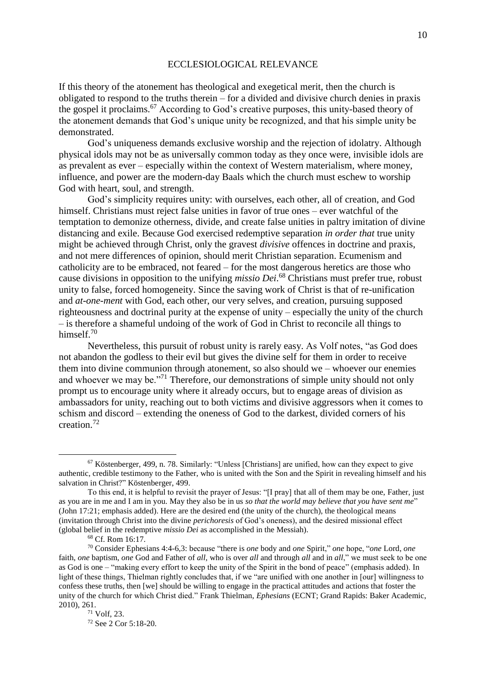#### ECCLESIOLOGICAL RELEVANCE

If this theory of the atonement has theological and exegetical merit, then the church is obligated to respond to the truths therein – for a divided and divisive church denies in praxis the gospel it proclaims. <sup>67</sup> According to God's creative purposes, this unity-based theory of the atonement demands that God's unique unity be recognized, and that his simple unity be demonstrated.

God's uniqueness demands exclusive worship and the rejection of idolatry. Although physical idols may not be as universally common today as they once were, invisible idols are as prevalent as ever – especially within the context of Western materialism, where money, influence, and power are the modern-day Baals which the church must eschew to worship God with heart, soul, and strength.

God's simplicity requires unity: with ourselves, each other, all of creation, and God himself. Christians must reject false unities in favor of true ones – ever watchful of the temptation to demonize otherness, divide, and create false unities in paltry imitation of divine distancing and exile. Because God exercised redemptive separation *in order that* true unity might be achieved through Christ, only the gravest *divisive* offences in doctrine and praxis, and not mere differences of opinion, should merit Christian separation. Ecumenism and catholicity are to be embraced, not feared – for the most dangerous heretics are those who cause divisions in opposition to the unifying *missio Dei*. <sup>68</sup> Christians must prefer true, robust unity to false, forced homogeneity. Since the saving work of Christ is that of re-unification and *at-one-ment* with God, each other, our very selves, and creation, pursuing supposed righteousness and doctrinal purity at the expense of unity – especially the unity of the church – is therefore a shameful undoing of the work of God in Christ to reconcile all things to himself.<sup>70</sup>

Nevertheless, this pursuit of robust unity is rarely easy. As Volf notes, "as God does not abandon the godless to their evil but gives the divine self for them in order to receive them into divine communion through atonement, so also should we – whoever our enemies and whoever we may be.<sup>"71</sup> Therefore, our demonstrations of simple unity should not only prompt us to encourage unity where it already occurs, but to engage areas of division as ambassadors for unity, reaching out to both victims and divisive aggressors when it comes to schism and discord – extending the oneness of God to the darkest, divided corners of his creation.<sup>72</sup>

<u>.</u>

<sup>72</sup> See 2 Cor 5:18-20.

<sup>67</sup> Köstenberger, 499, n. 78. Similarly: "Unless [Christians] are unified, how can they expect to give authentic, credible testimony to the Father, who is united with the Son and the Spirit in revealing himself and his salvation in Christ?" Köstenberger, 499.

To this end, it is helpful to revisit the prayer of Jesus: "[I pray] that all of them may be one, Father, just as you are in me and I am in you. May they also be in us *so that the world may believe that you have sent me*" (John 17:21; emphasis added). Here are the desired end (the unity of the church), the theological means (invitation through Christ into the divine *perichoresis* of God's oneness), and the desired missional effect (global belief in the redemptive *missio Dei* as accomplished in the Messiah).

<sup>68</sup> Cf. Rom 16:17.

<sup>70</sup> Consider Ephesians 4:4-6,3: because "there is *one* body and *one* Spirit," *one* hope, "*one* Lord, *one* faith, *one* baptism, *one* God and Father of *all*, who is over *all* and through *all* and in *all*," we must seek to be one as God is one – "making every effort to keep the unity of the Spirit in the bond of peace" (emphasis added). In light of these things, Thielman rightly concludes that, if we "are unified with one another in [our] willingness to confess these truths, then [we] should be willing to engage in the practical attitudes and actions that foster the unity of the church for which Christ died." Frank Thielman, *Ephesians* (ECNT; Grand Rapids: Baker Academic, 2010), 261.

 $71$  Volf, 23.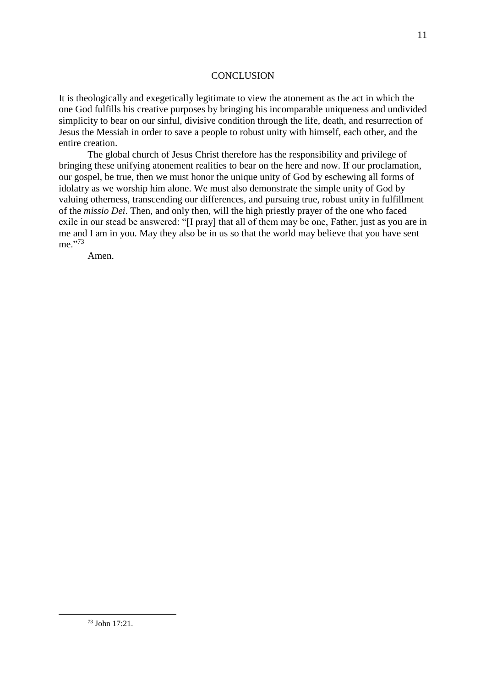#### **CONCLUSION**

It is theologically and exegetically legitimate to view the atonement as the act in which the one God fulfills his creative purposes by bringing his incomparable uniqueness and undivided simplicity to bear on our sinful, divisive condition through the life, death, and resurrection of Jesus the Messiah in order to save a people to robust unity with himself, each other, and the entire creation.

The global church of Jesus Christ therefore has the responsibility and privilege of bringing these unifying atonement realities to bear on the here and now. If our proclamation, our gospel, be true, then we must honor the unique unity of God by eschewing all forms of idolatry as we worship him alone. We must also demonstrate the simple unity of God by valuing otherness, transcending our differences, and pursuing true, robust unity in fulfillment of the *missio Dei*. Then, and only then, will the high priestly prayer of the one who faced exile in our stead be answered: "[I pray] that all of them may be one, Father, just as you are in me and I am in you. May they also be in us so that the world may believe that you have sent me."<sup>73</sup>

Amen.

<sup>73</sup> John 17:21.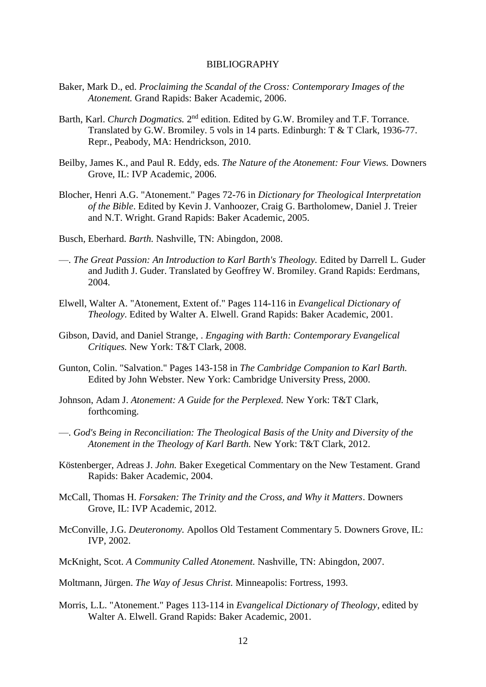#### BIBLIOGRAPHY

- Baker, Mark D., ed. *Proclaiming the Scandal of the Cross: Contemporary Images of the Atonement.* Grand Rapids: Baker Academic, 2006.
- Barth, Karl. *Church Dogmatics*. 2<sup>nd</sup> edition. Edited by G.W. Bromiley and T.F. Torrance. Translated by G.W. Bromiley. 5 vols in 14 parts. Edinburgh: T & T Clark, 1936-77. Repr., Peabody, MA: Hendrickson, 2010.
- Beilby, James K., and Paul R. Eddy, eds. *The Nature of the Atonement: Four Views.* Downers Grove, IL: IVP Academic, 2006.
- Blocher, Henri A.G. "Atonement." Pages 72-76 in *Dictionary for Theological Interpretation of the Bible*. Edited by Kevin J. Vanhoozer, Craig G. Bartholomew, Daniel J. Treier and N.T. Wright. Grand Rapids: Baker Academic, 2005.
- Busch, Eberhard. *Barth.* Nashville, TN: Abingdon, 2008.
- —. *The Great Passion: An Introduction to Karl Barth's Theology.* Edited by Darrell L. Guder and Judith J. Guder. Translated by Geoffrey W. Bromiley. Grand Rapids: Eerdmans, 2004.
- Elwell, Walter A. "Atonement, Extent of." Pages 114-116 in *Evangelical Dictionary of Theology*. Edited by Walter A. Elwell. Grand Rapids: Baker Academic, 2001.
- Gibson, David, and Daniel Strange, . *Engaging with Barth: Contemporary Evangelical Critiques.* New York: T&T Clark, 2008.
- Gunton, Colin. "Salvation." Pages 143-158 in *The Cambridge Companion to Karl Barth.* Edited by John Webster. New York: Cambridge University Press, 2000.
- Johnson, Adam J. *Atonement: A Guide for the Perplexed.* New York: T&T Clark, forthcoming.
- —. *God's Being in Reconciliation: The Theological Basis of the Unity and Diversity of the Atonement in the Theology of Karl Barth.* New York: T&T Clark, 2012.
- Köstenberger, Adreas J. *John.* Baker Exegetical Commentary on the New Testament. Grand Rapids: Baker Academic, 2004.
- McCall, Thomas H. *Forsaken: The Trinity and the Cross, and Why it Matters*. Downers Grove, IL: IVP Academic, 2012.
- McConville, J.G. *Deuteronomy.* Apollos Old Testament Commentary 5. Downers Grove, IL: IVP, 2002.
- McKnight, Scot. *A Community Called Atonement.* Nashville, TN: Abingdon, 2007.
- Moltmann, Jürgen. *The Way of Jesus Christ.* Minneapolis: Fortress, 1993.
- Morris, L.L. "Atonement." Pages 113-114 in *Evangelical Dictionary of Theology*, edited by Walter A. Elwell. Grand Rapids: Baker Academic, 2001.